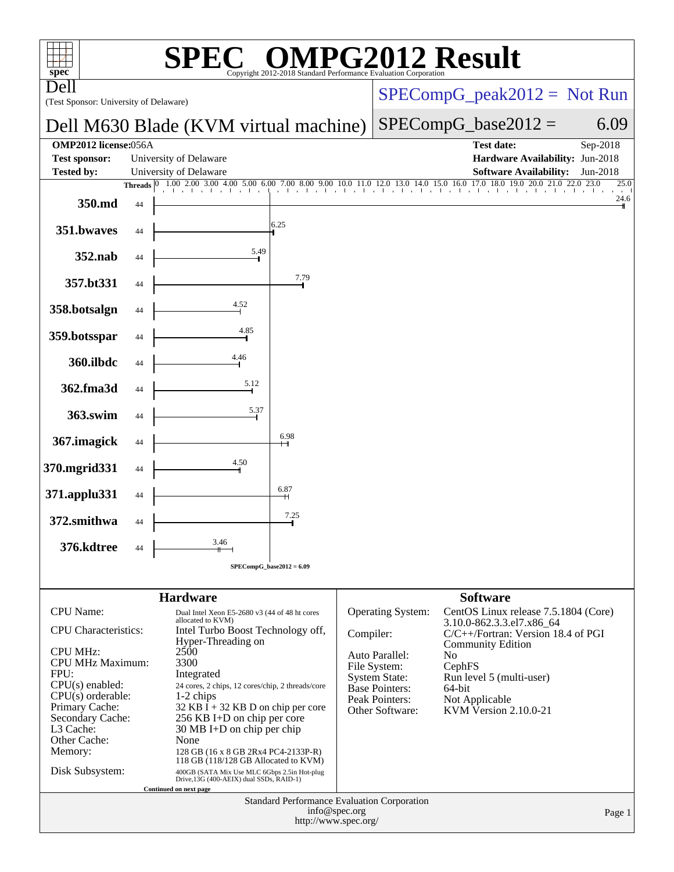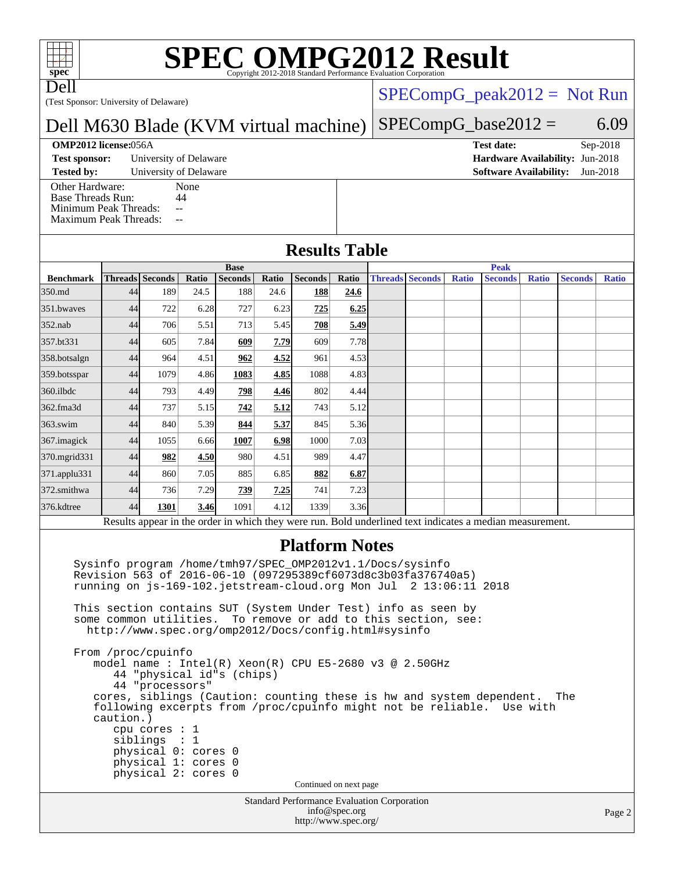# **[SPEC OMPG2012 Result](http://www.spec.org/auto/omp2012/Docs/result-fields.html#SPECOMPG2012Result)**

Dell

(Test Sponsor: University of Delaware)

### $SPECompG_peak2012 = Not Run$  $SPECompG_peak2012 = Not Run$

Dell M630 Blade (KVM virtual machine)  $SPECompG_base2012 = 6.09$  $SPECompG_base2012 = 6.09$ 

**[OMP2012 license:](http://www.spec.org/auto/omp2012/Docs/result-fields.html#OMP2012license)**056A **[Test date:](http://www.spec.org/auto/omp2012/Docs/result-fields.html#Testdate)** Sep-2018

**[Test sponsor:](http://www.spec.org/auto/omp2012/Docs/result-fields.html#Testsponsor)** University of Delaware **[Hardware Availability:](http://www.spec.org/auto/omp2012/Docs/result-fields.html#HardwareAvailability)** Jun-2018

**[Tested by:](http://www.spec.org/auto/omp2012/Docs/result-fields.html#Testedby)** University of Delaware **[Software Availability:](http://www.spec.org/auto/omp2012/Docs/result-fields.html#SoftwareAvailability)** Jun-2018

[Other Hardware:](http://www.spec.org/auto/omp2012/Docs/result-fields.html#OtherHardware) None<br>Base Threads Run: 44 [Base Threads Run:](http://www.spec.org/auto/omp2012/Docs/result-fields.html#BaseThreadsRun) [Minimum Peak Threads:](http://www.spec.org/auto/omp2012/Docs/result-fields.html#MinimumPeakThreads) --[Maximum Peak Threads:](http://www.spec.org/auto/omp2012/Docs/result-fields.html#MaximumPeakThreads) --

### **[Results Table](http://www.spec.org/auto/omp2012/Docs/result-fields.html#ResultsTable)**

|                  | <b>Base</b> |                        |       |                |       |                | <b>Peak</b> |  |                        |              |                                                                                                          |              |                |              |
|------------------|-------------|------------------------|-------|----------------|-------|----------------|-------------|--|------------------------|--------------|----------------------------------------------------------------------------------------------------------|--------------|----------------|--------------|
| <b>Benchmark</b> |             | <b>Threads</b> Seconds | Ratio | <b>Seconds</b> | Ratio | <b>Seconds</b> | Ratio       |  | <b>Threads Seconds</b> | <b>Ratio</b> | <b>Seconds</b>                                                                                           | <b>Ratio</b> | <b>Seconds</b> | <b>Ratio</b> |
| 350.md           | 44          | 189                    | 24.5  | 188            | 24.6  | 188            | 24.6        |  |                        |              |                                                                                                          |              |                |              |
| 351.bwaves       | 44          | 722                    | 6.28  | 727            | 6.23  | 725            | 6.25        |  |                        |              |                                                                                                          |              |                |              |
| $352$ .nab       | 44          | 706                    | 5.51  | 713            | 5.45  | 708            | 5.49        |  |                        |              |                                                                                                          |              |                |              |
| 357.bt331        | 44          | 605                    | 7.84  | 609            | 7.79  | 609            | 7.78        |  |                        |              |                                                                                                          |              |                |              |
| 358.botsalgn     | 44          | 964                    | 4.51  | 962            | 4.52  | 961            | 4.53        |  |                        |              |                                                                                                          |              |                |              |
| 359.botsspar     | 44          | 1079                   | 4.86  | 1083           | 4.85  | 1088           | 4.83        |  |                        |              |                                                                                                          |              |                |              |
| $360$ .ilbdc     | 44          | 793                    | 4.49  | 798            | 4.46  | 802            | 4.44        |  |                        |              |                                                                                                          |              |                |              |
| 362.fma3d        | 44          | 737                    | 5.15  | 742            | 5.12  | 743            | 5.12        |  |                        |              |                                                                                                          |              |                |              |
| $363$ .swim      | 44          | 840                    | 5.39  | 844            | 5.37  | 845            | 5.36        |  |                        |              |                                                                                                          |              |                |              |
| 367.imagick      | 44          | 1055                   | 6.66  | 1007           | 6.98  | 1000           | 7.03        |  |                        |              |                                                                                                          |              |                |              |
| 370.mgrid331     | 44          | 982                    | 4.50  | 980            | 4.51  | 989            | 4.47        |  |                        |              |                                                                                                          |              |                |              |
| 371.applu331     | 44          | 860                    | 7.05  | 885            | 6.85  | 882            | 6.87        |  |                        |              |                                                                                                          |              |                |              |
| 372.smithwa      | 44          | 736                    | 7.29  | 739            | 7.25  | 741            | 7.23        |  |                        |              |                                                                                                          |              |                |              |
| 376.kdtree       | 44          | 1301                   | 3.46  | 1091           | 4.12  | 1339           | 3.36        |  |                        |              |                                                                                                          |              |                |              |
|                  |             |                        |       |                |       |                |             |  |                        |              | Results appear in the order in which they were run. Bold underlined text indicates a median measurement. |              |                |              |

### **[Platform Notes](http://www.spec.org/auto/omp2012/Docs/result-fields.html#PlatformNotes)**

Standard Performance Evaluation Corporation [info@spec.org](mailto:info@spec.org) <http://www.spec.org/> Sysinfo program /home/tmh97/SPEC\_OMP2012v1.1/Docs/sysinfo Revision 563 of 2016-06-10 (097295389cf6073d8c3b03fa376740a5) running on js-169-102.jetstream-cloud.org Mon Jul 2 13:06:11 2018 This section contains SUT (System Under Test) info as seen by some common utilities. To remove or add to this section, see: <http://www.spec.org/omp2012/Docs/config.html#sysinfo> From /proc/cpuinfo model name : Intel(R) Xeon(R) CPU E5-2680 v3 @ 2.50GHz 44 "physical id"s (chips) 44 "processors" cores, siblings (Caution: counting these is hw and system dependent. The following excerpts from /proc/cpuinfo might not be reliable. Use with caution.) cpu cores : 1 siblings : 1 physical 0: cores 0 physical 1: cores 0 physical 2: cores 0 Continued on next page

Page 2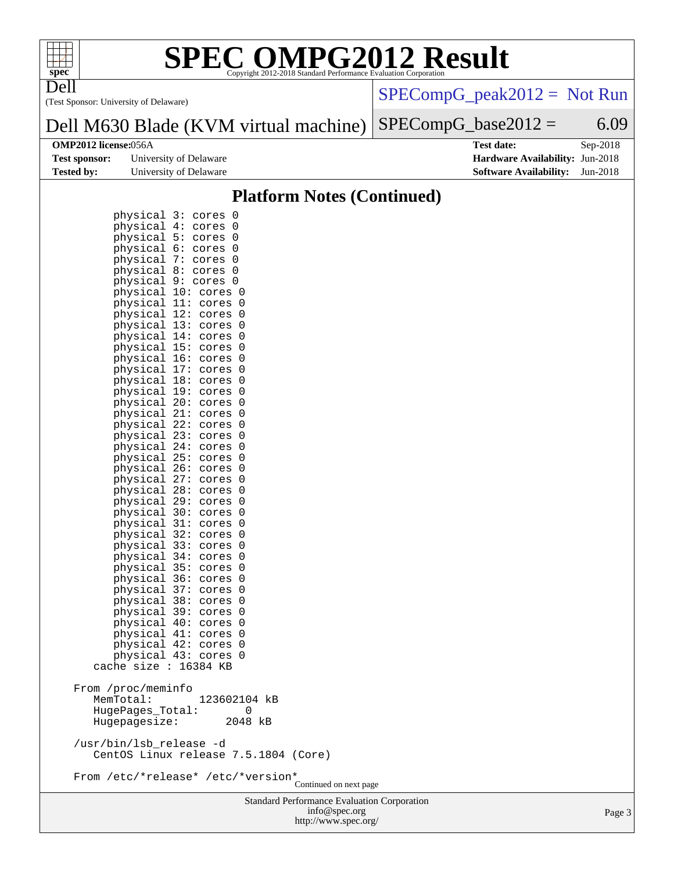

# **[SPEC OMPG2012 Result](http://www.spec.org/auto/omp2012/Docs/result-fields.html#SPECOMPG2012Result)**

(Test Sponsor: University of Delaware) Dell

[SPECompG\\_peak2012 =](http://www.spec.org/auto/omp2012/Docs/result-fields.html#SPECompGpeak2012) Not Run

#### Dell M630 Blade (KVM virtual machine)  $SPECompG_base2012 = 6.09$  $SPECompG_base2012 = 6.09$

| <b>Test sponsor:</b> | University of Delaware |
|----------------------|------------------------|
| Tested by:           | University of Delaware |

**[OMP2012 license:](http://www.spec.org/auto/omp2012/Docs/result-fields.html#OMP2012license)**056A **[Test date:](http://www.spec.org/auto/omp2012/Docs/result-fields.html#Testdate)** Sep-2018 **[Hardware Availability:](http://www.spec.org/auto/omp2012/Docs/result-fields.html#HardwareAvailability)** Jun-2018 **[Software Availability:](http://www.spec.org/auto/omp2012/Docs/result-fields.html#SoftwareAvailability)** Jun-2018

### **[Platform Notes \(Continued\)](http://www.spec.org/auto/omp2012/Docs/result-fields.html#PlatformNotes)**

| physical<br>physical<br>physical<br>physical<br>physical<br>physical<br>physical<br>physical<br>physical<br>physical<br>physical 13:<br>physical<br>physical<br>physical 16:<br>physical<br>physical<br>physical 19:<br>physical<br>physical<br>physical 22:<br>physical<br>physical<br>physical 25:<br>physical<br>physical<br>physical 28:<br>physical<br>physical<br>physical<br>physical<br>physical<br>physical<br>physical<br>physical<br>physical<br>physical<br>physical<br>physical<br>physical | 3:<br>cores<br>0<br>4:<br>0<br>cores<br>5:<br>0<br>cores<br>6:<br>0<br>cores<br>7:<br>0<br>cores<br>8:<br>cores<br>0<br>9:<br>0<br>cores<br>10:<br>0<br>cores<br>11:<br>cores<br>0<br>12:<br>cores<br>0<br>0<br>cores<br>14:<br>cores<br>0<br>15:<br>cores<br>0<br>0<br>cores<br>17:<br>cores<br>0<br>18:<br>cores<br>0<br>0<br>cores<br>20:<br>cores<br>0<br>21:<br>cores<br>0<br>0<br>cores<br>23:<br>cores<br>0<br>24:<br>cores<br>0<br>0<br>cores<br>26:<br>cores<br>0<br>27:<br>cores<br>0<br>0<br>cores<br>29:<br>cores<br>0<br>30:<br>cores<br>0<br>31:<br>0<br>cores<br>32:<br>cores<br>0<br>33:<br>cores<br>0<br>34:<br>0<br>cores<br>35:<br>cores<br>0<br>36:<br>cores<br>0<br>37:<br>0<br>cores<br>38:<br>cores<br>0<br>39:<br>cores<br>0<br>40:<br>0<br>cores<br>41:<br>cores<br>0 |                        |
|----------------------------------------------------------------------------------------------------------------------------------------------------------------------------------------------------------------------------------------------------------------------------------------------------------------------------------------------------------------------------------------------------------------------------------------------------------------------------------------------------------|------------------------------------------------------------------------------------------------------------------------------------------------------------------------------------------------------------------------------------------------------------------------------------------------------------------------------------------------------------------------------------------------------------------------------------------------------------------------------------------------------------------------------------------------------------------------------------------------------------------------------------------------------------------------------------------------------------------------------------------------------------------------------------------------|------------------------|
|                                                                                                                                                                                                                                                                                                                                                                                                                                                                                                          |                                                                                                                                                                                                                                                                                                                                                                                                                                                                                                                                                                                                                                                                                                                                                                                                |                        |
|                                                                                                                                                                                                                                                                                                                                                                                                                                                                                                          |                                                                                                                                                                                                                                                                                                                                                                                                                                                                                                                                                                                                                                                                                                                                                                                                |                        |
|                                                                                                                                                                                                                                                                                                                                                                                                                                                                                                          |                                                                                                                                                                                                                                                                                                                                                                                                                                                                                                                                                                                                                                                                                                                                                                                                |                        |
| physical 42:                                                                                                                                                                                                                                                                                                                                                                                                                                                                                             | cores<br>0                                                                                                                                                                                                                                                                                                                                                                                                                                                                                                                                                                                                                                                                                                                                                                                     |                        |
| physical<br>cache size :                                                                                                                                                                                                                                                                                                                                                                                                                                                                                 | 43:<br>0<br>cores<br>16384 KB                                                                                                                                                                                                                                                                                                                                                                                                                                                                                                                                                                                                                                                                                                                                                                  |                        |
| From /proc/meminfo<br>MemTotal:<br>HugePages_Total:<br>Hugepagesize:                                                                                                                                                                                                                                                                                                                                                                                                                                     | 123602104<br>kΒ<br>0<br>2048 kB                                                                                                                                                                                                                                                                                                                                                                                                                                                                                                                                                                                                                                                                                                                                                                |                        |
| /usr/bin/lsb_release -d                                                                                                                                                                                                                                                                                                                                                                                                                                                                                  | CentOS Linux release 7.5.1804 (Core)                                                                                                                                                                                                                                                                                                                                                                                                                                                                                                                                                                                                                                                                                                                                                           |                        |
|                                                                                                                                                                                                                                                                                                                                                                                                                                                                                                          | From /etc/*release* /etc/*version*                                                                                                                                                                                                                                                                                                                                                                                                                                                                                                                                                                                                                                                                                                                                                             | Continued on next page |

Standard Performance Evaluation Corporation [info@spec.org](mailto:info@spec.org) <http://www.spec.org/>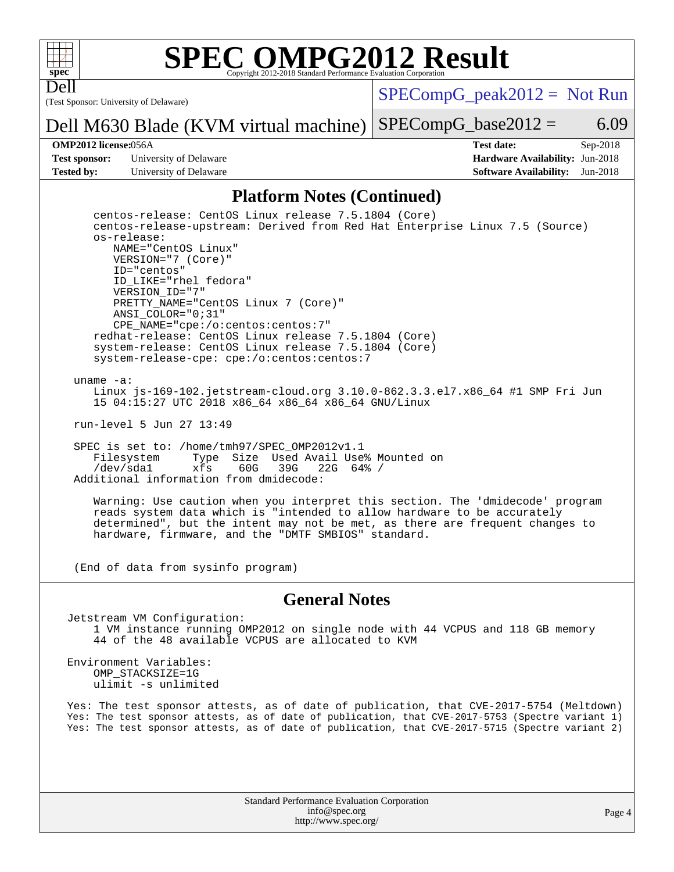

Dell

# **[SPEC OMPG2012 Result](http://www.spec.org/auto/omp2012/Docs/result-fields.html#SPECOMPG2012Result)**

(Test Sponsor: University of Delaware)

 $SPECompG_peak2012 = Not Run$  $SPECompG_peak2012 = Not Run$ 

 $SPECompG_base2012 = 6.09$  $SPECompG_base2012 = 6.09$ 

**[Test sponsor:](http://www.spec.org/auto/omp2012/Docs/result-fields.html#Testsponsor)** University of Delaware **[Hardware Availability:](http://www.spec.org/auto/omp2012/Docs/result-fields.html#HardwareAvailability)** Jun-2018 **[Tested by:](http://www.spec.org/auto/omp2012/Docs/result-fields.html#Testedby)** University of Delaware **[Software Availability:](http://www.spec.org/auto/omp2012/Docs/result-fields.html#SoftwareAvailability)** Jun-2018

Dell M630 Blade (KVM virtual machine)

**[OMP2012 license:](http://www.spec.org/auto/omp2012/Docs/result-fields.html#OMP2012license)**056A **[Test date:](http://www.spec.org/auto/omp2012/Docs/result-fields.html#Testdate)** Sep-2018

### **[Platform Notes \(Continued\)](http://www.spec.org/auto/omp2012/Docs/result-fields.html#PlatformNotes)**

 centos-release: CentOS Linux release 7.5.1804 (Core) centos-release-upstream: Derived from Red Hat Enterprise Linux 7.5 (Source) os-release: NAME="CentOS Linux" VERSION="7 (Core)" ID="centos" ID\_LIKE="rhel fedora" VERSION\_ID="7" PRETTY\_NAME="CentOS Linux 7 (Core)" ANSI\_COLOR="0;31" CPE\_NAME="cpe:/o:centos:centos:7" redhat-release: CentOS Linux release 7.5.1804 (Core) system-release: CentOS Linux release 7.5.1804 (Core) system-release-cpe: cpe:/o:centos:centos:7

uname -a:

 Linux js-169-102.jetstream-cloud.org 3.10.0-862.3.3.el7.x86\_64 #1 SMP Fri Jun 15 04:15:27 UTC 2018 x86\_64 x86\_64 x86\_64 GNU/Linux

run-level 5 Jun 27 13:49

 SPEC is set to: /home/tmh97/SPEC\_OMP2012v1.1 Filesystem Type Size Used Avail Use% Mounted on<br>
/dev/sdal xfs 60G 39G 22G 64% / /dev/sda1 xfs 60G 39G 22G 64% / Additional information from dmidecode:

 Warning: Use caution when you interpret this section. The 'dmidecode' program reads system data which is "intended to allow hardware to be accurately determined", but the intent may not be met, as there are frequent changes to hardware, firmware, and the "DMTF SMBIOS" standard.

(End of data from sysinfo program)

#### **[General Notes](http://www.spec.org/auto/omp2012/Docs/result-fields.html#GeneralNotes)**

Jetstream VM Configuration: 1 VM instance running OMP2012 on single node with 44 VCPUS and 118 GB memory 44 of the 48 available VCPUS are allocated to KVM

Environment Variables: OMP\_STACKSIZE=1G ulimit -s unlimited

Yes: The test sponsor attests, as of date of publication, that CVE-2017-5754 (Meltdown) Yes: The test sponsor attests, as of date of publication, that CVE-2017-5753 (Spectre variant 1) Yes: The test sponsor attests, as of date of publication, that CVE-2017-5715 (Spectre variant 2)

> Standard Performance Evaluation Corporation [info@spec.org](mailto:info@spec.org) <http://www.spec.org/>